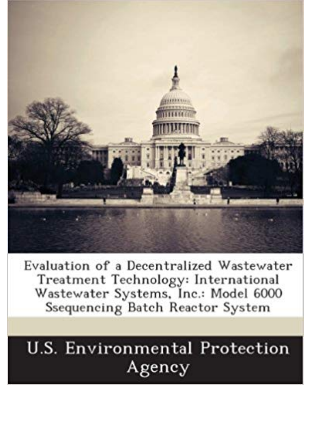

Evaluation of a Decentralized Wastewater Treatment Technology: International Wastewater Systems, Inc.: Model 6000 Ssequencing Batch Reactor System

## **U.S. Environmental Protection** Agency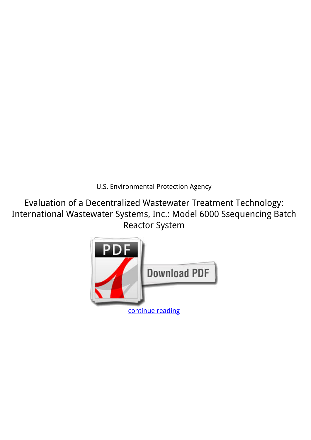*U.S. Environmental Protection Agency*

**Evaluation of a Decentralized Wastewater Treatment Technology: International Wastewater Systems, Inc.: Model 6000 Ssequencing Batch Reactor System**

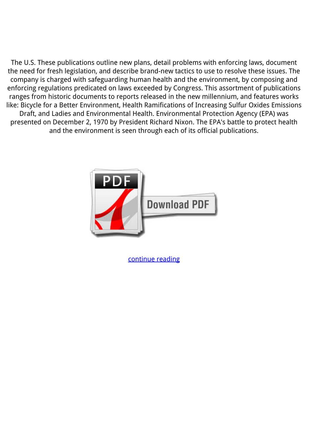The U.S. These publications outline new plans, detail problems with enforcing laws, document the need for fresh legislation, and describe brand-new tactics to use to resolve these issues. The company is charged with safeguarding human health and the environment, by composing and enforcing regulations predicated on laws exceeded by Congress. This assortment of publications ranges from historic documents to reports released in the new millennium, and features works like: Bicycle for a Better Environment, Health Ramifications of Increasing Sulfur Oxides Emissions Draft, and Ladies and Environmental Health. Environmental Protection Agency (EPA) was presented on December 2, 1970 by President Richard Nixon. The EPA's battle to protect health and the environment is seen through each of its official publications.



[continue reading](http://bit.ly/2Tge8Fv)